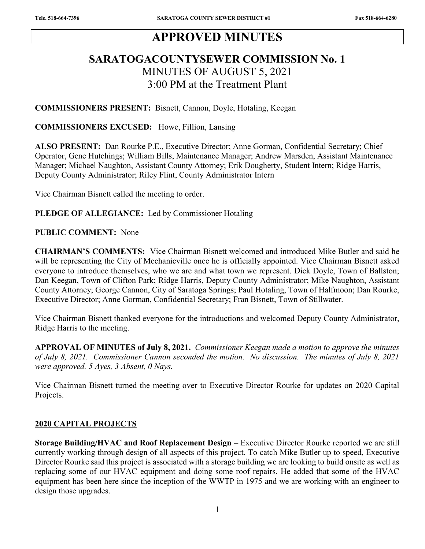# APPROVED MINUTES

## SARATOGACOUNTYSEWER COMMISSION No. 1 MINUTES OF AUGUST 5, 2021 3:00 PM at the Treatment Plant

COMMISSIONERS PRESENT: Bisnett, Cannon, Doyle, Hotaling, Keegan

COMMISSIONERS EXCUSED: Howe, Fillion, Lansing

ALSO PRESENT: Dan Rourke P.E., Executive Director; Anne Gorman, Confidential Secretary; Chief Operator, Gene Hutchings; William Bills, Maintenance Manager; Andrew Marsden, Assistant Maintenance Manager; Michael Naughton, Assistant County Attorney; Erik Dougherty, Student Intern; Ridge Harris, Deputy County Administrator; Riley Flint, County Administrator Intern

Vice Chairman Bisnett called the meeting to order.

PLEDGE OF ALLEGIANCE: Led by Commissioner Hotaling

#### PUBLIC COMMENT: None

CHAIRMAN'S COMMENTS: Vice Chairman Bisnett welcomed and introduced Mike Butler and said he will be representing the City of Mechanicville once he is officially appointed. Vice Chairman Bisnett asked everyone to introduce themselves, who we are and what town we represent. Dick Doyle, Town of Ballston; Dan Keegan, Town of Clifton Park; Ridge Harris, Deputy County Administrator; Mike Naughton, Assistant County Attorney; George Cannon, City of Saratoga Springs; Paul Hotaling, Town of Halfmoon; Dan Rourke, Executive Director; Anne Gorman, Confidential Secretary; Fran Bisnett, Town of Stillwater.

Vice Chairman Bisnett thanked everyone for the introductions and welcomed Deputy County Administrator, Ridge Harris to the meeting.

APPROVAL OF MINUTES of July 8, 2021. Commissioner Keegan made a motion to approve the minutes of July 8, 2021. Commissioner Cannon seconded the motion. No discussion. The minutes of July 8, 2021 were approved. 5 Ayes, 3 Absent, 0 Nays.

Vice Chairman Bisnett turned the meeting over to Executive Director Rourke for updates on 2020 Capital Projects.

#### 2020 CAPITAL PROJECTS

Storage Building/HVAC and Roof Replacement Design – Executive Director Rourke reported we are still currently working through design of all aspects of this project. To catch Mike Butler up to speed, Executive Director Rourke said this project is associated with a storage building we are looking to build onsite as well as replacing some of our HVAC equipment and doing some roof repairs. He added that some of the HVAC equipment has been here since the inception of the WWTP in 1975 and we are working with an engineer to design those upgrades.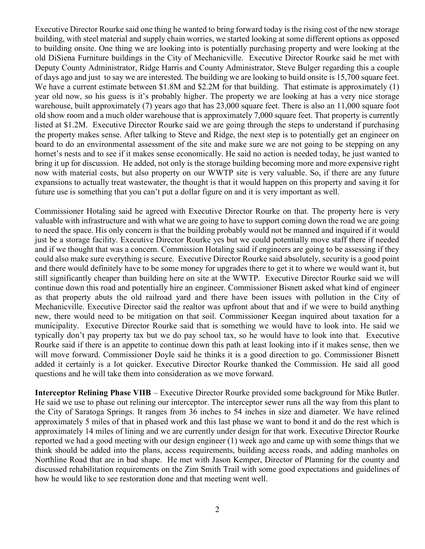Executive Director Rourke said one thing he wanted to bring forward today is the rising cost of the new storage building, with steel material and supply chain worries, we started looking at some different options as opposed to building onsite. One thing we are looking into is potentially purchasing property and were looking at the old DiSiena Furniture buildings in the City of Mechanicville. Executive Director Rourke said he met with Deputy County Administrator, Ridge Harris and County Administrator, Steve Bulger regarding this a couple of days ago and just to say we are interested. The building we are looking to build onsite is 15,700 square feet. We have a current estimate between \$1.8M and \$2.2M for that building. That estimate is approximately (1) year old now, so his guess is it's probably higher. The property we are looking at has a very nice storage warehouse, built approximately (7) years ago that has 23,000 square feet. There is also an 11,000 square foot old show room and a much older warehouse that is approximately 7,000 square feet. That property is currently listed at \$1.2M. Executive Director Rourke said we are going through the steps to understand if purchasing the property makes sense. After talking to Steve and Ridge, the next step is to potentially get an engineer on board to do an environmental assessment of the site and make sure we are not going to be stepping on any hornet's nests and to see if it makes sense economically. He said no action is needed today, he just wanted to bring it up for discussion. He added, not only is the storage building becoming more and more expensive right now with material costs, but also property on our WWTP site is very valuable. So, if there are any future expansions to actually treat wastewater, the thought is that it would happen on this property and saving it for future use is something that you can't put a dollar figure on and it is very important as well.

Commissioner Hotaling said he agreed with Executive Director Rourke on that. The property here is very valuable with infrastructure and with what we are going to have to support coming down the road we are going to need the space. His only concern is that the building probably would not be manned and inquired if it would just be a storage facility. Executive Director Rourke yes but we could potentially move staff there if needed and if we thought that was a concern. Commission Hotaling said if engineers are going to be assessing if they could also make sure everything is secure. Executive Director Rourke said absolutely, security is a good point and there would definitely have to be some money for upgrades there to get it to where we would want it, but still significantly cheaper than building here on site at the WWTP. Executive Director Rourke said we will continue down this road and potentially hire an engineer. Commissioner Bisnett asked what kind of engineer as that property abuts the old railroad yard and there have been issues with pollution in the City of Mechanicville. Executive Director said the realtor was upfront about that and if we were to build anything new, there would need to be mitigation on that soil. Commissioner Keegan inquired about taxation for a municipality. Executive Director Rourke said that is something we would have to look into. He said we typically don't pay property tax but we do pay school tax, so he would have to look into that. Executive Rourke said if there is an appetite to continue down this path at least looking into if it makes sense, then we will move forward. Commissioner Doyle said he thinks it is a good direction to go. Commissioner Bisnett added it certainly is a lot quicker. Executive Director Rourke thanked the Commission. He said all good questions and he will take them into consideration as we move forward.

Interceptor Relining Phase VIIB – Executive Director Rourke provided some background for Mike Butler. He said we use to phase out relining our interceptor. The interceptor sewer runs all the way from this plant to the City of Saratoga Springs. It ranges from 36 inches to 54 inches in size and diameter. We have relined approximately 5 miles of that in phased work and this last phase we want to bond it and do the rest which is approximately 14 miles of lining and we are currently under design for that work. Executive Director Rourke reported we had a good meeting with our design engineer (1) week ago and came up with some things that we think should be added into the plans, access requirements, building access roads, and adding manholes on Northline Road that are in bad shape. He met with Jason Kemper, Director of Planning for the county and discussed rehabilitation requirements on the Zim Smith Trail with some good expectations and guidelines of how he would like to see restoration done and that meeting went well.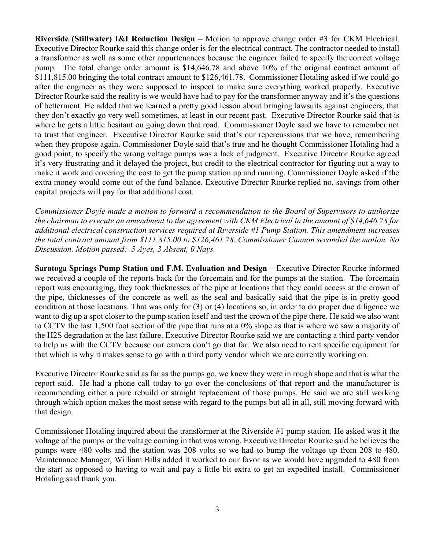**Riverside (Stillwater) I&I Reduction Design** – Motion to approve change order #3 for CKM Electrical. Executive Director Rourke said this change order is for the electrical contract. The contractor needed to install a transformer as well as some other appurtenances because the engineer failed to specify the correct voltage pump. The total change order amount is \$14,646.78 and above 10% of the original contract amount of \$111,815.00 bringing the total contract amount to \$126,461.78. Commissioner Hotaling asked if we could go after the engineer as they were supposed to inspect to make sure everything worked properly. Executive Director Rourke said the reality is we would have had to pay for the transformer anyway and it's the questions of betterment. He added that we learned a pretty good lesson about bringing lawsuits against engineers, that they don't exactly go very well sometimes, at least in our recent past. Executive Director Rourke said that is where he gets a little hesitant on going down that road. Commissioner Doyle said we have to remember not to trust that engineer. Executive Director Rourke said that's our repercussions that we have, remembering when they propose again. Commissioner Doyle said that's true and he thought Commissioner Hotaling had a good point, to specify the wrong voltage pumps was a lack of judgment. Executive Director Rourke agreed it's very frustrating and it delayed the project, but credit to the electrical contractor for figuring out a way to make it work and covering the cost to get the pump station up and running. Commissioner Doyle asked if the extra money would come out of the fund balance. Executive Director Rourke replied no, savings from other capital projects will pay for that additional cost.

Commissioner Doyle made a motion to forward a recommendation to the Board of Supervisors to authorize the chairman to execute an amendment to the agreement with CKM Electrical in the amount of \$14,646.78 for additional electrical construction services required at Riverside #1 Pump Station. This amendment increases the total contract amount from \$111,815.00 to \$126,461.78. Commissioner Cannon seconded the motion. No Discussion. Motion passed: 5 Ayes, 3 Absent, 0 Nays.

Saratoga Springs Pump Station and F.M. Evaluation and Design – Executive Director Rourke informed we received a couple of the reports back for the forcemain and for the pumps at the station. The forcemain report was encouraging, they took thicknesses of the pipe at locations that they could access at the crown of the pipe, thicknesses of the concrete as well as the seal and basically said that the pipe is in pretty good condition at those locations. That was only for (3) or (4) locations so, in order to do proper due diligence we want to dig up a spot closer to the pump station itself and test the crown of the pipe there. He said we also want to CCTV the last 1,500 foot section of the pipe that runs at a 0% slope as that is where we saw a majority of the H2S degradation at the last failure. Executive Director Rourke said we are contacting a third party vendor to help us with the CCTV because our camera don't go that far. We also need to rent specific equipment for that which is why it makes sense to go with a third party vendor which we are currently working on.

Executive Director Rourke said as far as the pumps go, we knew they were in rough shape and that is what the report said. He had a phone call today to go over the conclusions of that report and the manufacturer is recommending either a pure rebuild or straight replacement of those pumps. He said we are still working through which option makes the most sense with regard to the pumps but all in all, still moving forward with that design.

Commissioner Hotaling inquired about the transformer at the Riverside #1 pump station. He asked was it the voltage of the pumps or the voltage coming in that was wrong. Executive Director Rourke said he believes the pumps were 480 volts and the station was 208 volts so we had to bump the voltage up from 208 to 480. Maintenance Manager, William Bills added it worked to our favor as we would have upgraded to 480 from the start as opposed to having to wait and pay a little bit extra to get an expedited install. Commissioner Hotaling said thank you.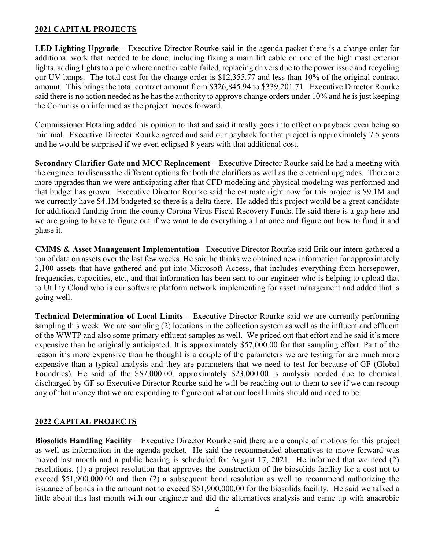### 2021 CAPITAL PROJECTS

LED Lighting Upgrade – Executive Director Rourke said in the agenda packet there is a change order for additional work that needed to be done, including fixing a main lift cable on one of the high mast exterior lights, adding lights to a pole where another cable failed, replacing drivers due to the power issue and recycling our UV lamps. The total cost for the change order is \$12,355.77 and less than 10% of the original contract amount. This brings the total contract amount from \$326,845.94 to \$339,201.71. Executive Director Rourke said there is no action needed as he has the authority to approve change orders under 10% and he is just keeping the Commission informed as the project moves forward.

Commissioner Hotaling added his opinion to that and said it really goes into effect on payback even being so minimal. Executive Director Rourke agreed and said our payback for that project is approximately 7.5 years and he would be surprised if we even eclipsed 8 years with that additional cost.

Secondary Clarifier Gate and MCC Replacement – Executive Director Rourke said he had a meeting with the engineer to discuss the different options for both the clarifiers as well as the electrical upgrades. There are more upgrades than we were anticipating after that CFD modeling and physical modeling was performed and that budget has grown. Executive Director Rourke said the estimate right now for this project is \$9.1M and we currently have \$4.1M budgeted so there is a delta there. He added this project would be a great candidate for additional funding from the county Corona Virus Fiscal Recovery Funds. He said there is a gap here and we are going to have to figure out if we want to do everything all at once and figure out how to fund it and phase it.

CMMS & Asset Management Implementation– Executive Director Rourke said Erik our intern gathered a ton of data on assets over the last few weeks. He said he thinks we obtained new information for approximately 2,100 assets that have gathered and put into Microsoft Access, that includes everything from horsepower, frequencies, capacities, etc., and that information has been sent to our engineer who is helping to upload that to Utility Cloud who is our software platform network implementing for asset management and added that is going well.

Technical Determination of Local Limits – Executive Director Rourke said we are currently performing sampling this week. We are sampling (2) locations in the collection system as well as the influent and effluent of the WWTP and also some primary effluent samples as well. We priced out that effort and he said it's more expensive than he originally anticipated. It is approximately \$57,000.00 for that sampling effort. Part of the reason it's more expensive than he thought is a couple of the parameters we are testing for are much more expensive than a typical analysis and they are parameters that we need to test for because of GF (Global Foundries). He said of the \$57,000.00, approximately \$23,000.00 is analysis needed due to chemical discharged by GF so Executive Director Rourke said he will be reaching out to them to see if we can recoup any of that money that we are expending to figure out what our local limits should and need to be.

### 2022 CAPITAL PROJECTS

Biosolids Handling Facility – Executive Director Rourke said there are a couple of motions for this project as well as information in the agenda packet. He said the recommended alternatives to move forward was moved last month and a public hearing is scheduled for August 17, 2021. He informed that we need (2) resolutions, (1) a project resolution that approves the construction of the biosolids facility for a cost not to exceed \$51,900,000.00 and then (2) a subsequent bond resolution as well to recommend authorizing the issuance of bonds in the amount not to exceed \$51,900,000.00 for the biosolids facility. He said we talked a little about this last month with our engineer and did the alternatives analysis and came up with anaerobic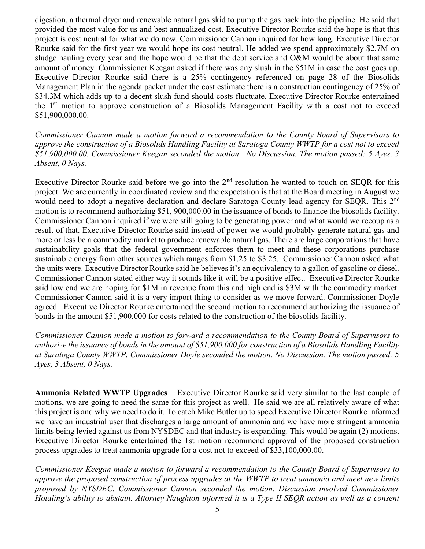digestion, a thermal dryer and renewable natural gas skid to pump the gas back into the pipeline. He said that provided the most value for us and best annualized cost. Executive Director Rourke said the hope is that this project is cost neutral for what we do now. Commissioner Cannon inquired for how long. Executive Director Rourke said for the first year we would hope its cost neutral. He added we spend approximately \$2.7M on sludge hauling every year and the hope would be that the debt service and O&M would be about that same amount of money. Commissioner Keegan asked if there was any slush in the \$51M in case the cost goes up. Executive Director Rourke said there is a 25% contingency referenced on page 28 of the Biosolids Management Plan in the agenda packet under the cost estimate there is a construction contingency of 25% of \$34.3M which adds up to a decent slush fund should costs fluctuate. Executive Director Rourke entertained the 1st motion to approve construction of a Biosolids Management Facility with a cost not to exceed \$51,900,000.00.

Commissioner Cannon made a motion forward a recommendation to the County Board of Supervisors to approve the construction of a Biosolids Handling Facility at Saratoga County WWTP for a cost not to exceed \$51,900,000.00. Commissioner Keegan seconded the motion. No Discussion. The motion passed: 5 Ayes, 3 Absent, 0 Nays.

Executive Director Rourke said before we go into the  $2<sup>nd</sup>$  resolution he wanted to touch on SEQR for this project. We are currently in coordinated review and the expectation is that at the Board meeting in August we would need to adopt a negative declaration and declare Saratoga County lead agency for SEQR. This 2<sup>nd</sup> motion is to recommend authorizing \$51, 900,000.00 in the issuance of bonds to finance the biosolids facility. Commissioner Cannon inquired if we were still going to be generating power and what would we recoup as a result of that. Executive Director Rourke said instead of power we would probably generate natural gas and more or less be a commodity market to produce renewable natural gas. There are large corporations that have sustainability goals that the federal government enforces them to meet and these corporations purchase sustainable energy from other sources which ranges from \$1.25 to \$3.25. Commissioner Cannon asked what the units were. Executive Director Rourke said he believes it's an equivalency to a gallon of gasoline or diesel. Commissioner Cannon stated either way it sounds like it will be a positive effect. Executive Director Rourke said low end we are hoping for \$1M in revenue from this and high end is \$3M with the commodity market. Commissioner Cannon said it is a very import thing to consider as we move forward. Commissioner Doyle agreed. Executive Director Rourke entertained the second motion to recommend authorizing the issuance of bonds in the amount \$51,900,000 for costs related to the construction of the biosolids facility.

Commissioner Cannon made a motion to forward a recommendation to the County Board of Supervisors to authorize the issuance of bonds in the amount of \$51,900,000 for construction of a Biosolids Handling Facility at Saratoga County WWTP. Commissioner Doyle seconded the motion. No Discussion. The motion passed: 5 Ayes, 3 Absent, 0 Nays.

Ammonia Related WWTP Upgrades – Executive Director Rourke said very similar to the last couple of motions, we are going to need the same for this project as well. He said we are all relatively aware of what this project is and why we need to do it. To catch Mike Butler up to speed Executive Director Rourke informed we have an industrial user that discharges a large amount of ammonia and we have more stringent ammonia limits being levied against us from NYSDEC and that industry is expanding. This would be again (2) motions. Executive Director Rourke entertained the 1st motion recommend approval of the proposed construction process upgrades to treat ammonia upgrade for a cost not to exceed of \$33,100,000.00.

Commissioner Keegan made a motion to forward a recommendation to the County Board of Supervisors to approve the proposed construction of process upgrades at the WWTP to treat ammonia and meet new limits proposed by NYSDEC. Commissioner Cannon seconded the motion. Discussion involved Commissioner Hotaling's ability to abstain. Attorney Naughton informed it is a Type II SEQR action as well as a consent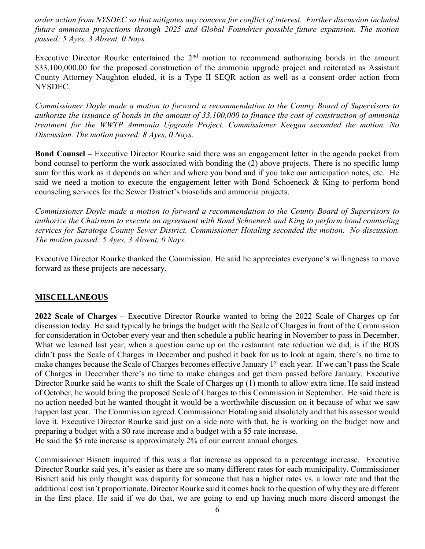order action from NYSDEC so that mitigates any concern for conflict of interest. Further discussion included future ammonia projections through 2025 and Global Foundries possible future expansion. The motion passed: 5 Ayes, 3 Absent, 0 Nays.

Executive Director Rourke entertained the 2<sup>nd</sup> motion to recommend authorizing bonds in the amount \$33,100,000.00 for the proposed construction of the ammonia upgrade project and reiterated as Assistant County Attorney Naughton eluded, it is a Type II SEQR action as well as a consent order action from NYSDEC.

Commissioner Doyle made a motion to forward a recommendation to the County Board of Supervisors to authorize the issuance of bonds in the amount of 33,100,000 to finance the cost of construction of ammonia treatment for the WWTP Ammonia Upgrade Project. Commissioner Keegan seconded the motion. No Discussion. The motion passed: 8 Ayes, 0 Nays.

Bond Counsel – Executive Director Rourke said there was an engagement letter in the agenda packet from bond counsel to perform the work associated with bonding the (2) above projects. There is no specific lump sum for this work as it depends on when and where you bond and if you take our anticipation notes, etc. He said we need a motion to execute the engagement letter with Bond Schoeneck & King to perform bond counseling services for the Sewer District's biosolids and ammonia projects.

Commissioner Doyle made a motion to forward a recommendation to the County Board of Supervisors to authorize the Chairman to execute an agreement with Bond Schoeneck and King to perform bond counseling services for Saratoga County Sewer District. Commissioner Hotaling seconded the motion. No discussion. The motion passed:  $5 \text{ Ayes}$ ,  $3 \text{ Absent}$ ,  $0 \text{ Nays}$ .

Executive Director Rourke thanked the Commission. He said he appreciates everyone's willingness to move forward as these projects are necessary.

### **MISCELLANEOUS**

2022 Scale of Charges – Executive Director Rourke wanted to bring the 2022 Scale of Charges up for discussion today. He said typically he brings the budget with the Scale of Charges in front of the Commission for consideration in October every year and then schedule a public hearing in November to pass in December. What we learned last year, when a question came up on the restaurant rate reduction we did, is if the BOS didn't pass the Scale of Charges in December and pushed it back for us to look at again, there's no time to make changes because the Scale of Charges becomes effective January 1<sup>st</sup> each year. If we can't pass the Scale of Charges in December there's no time to make changes and get them passed before January. Executive Director Rourke said he wants to shift the Scale of Charges up (1) month to allow extra time. He said instead of October, he would bring the proposed Scale of Charges to this Commission in September. He said there is no action needed but he wanted thought it would be a worthwhile discussion on it because of what we saw happen last year. The Commission agreed. Commissioner Hotaling said absolutely and that his assessor would love it. Executive Director Rourke said just on a side note with that, he is working on the budget now and preparing a budget with a \$0 rate increase and a budget with a \$5 rate increase. He said the \$5 rate increase is approximately 2% of our current annual charges.

Commissioner Bisnett inquired if this was a flat increase as opposed to a percentage increase. Executive Director Rourke said yes, it's easier as there are so many different rates for each municipality. Commissioner Bisnett said his only thought was disparity for someone that has a higher rates vs. a lower rate and that the additional cost isn't proportionate. Director Rourke said it comes back to the question of why they are different in the first place. He said if we do that, we are going to end up having much more discord amongst the